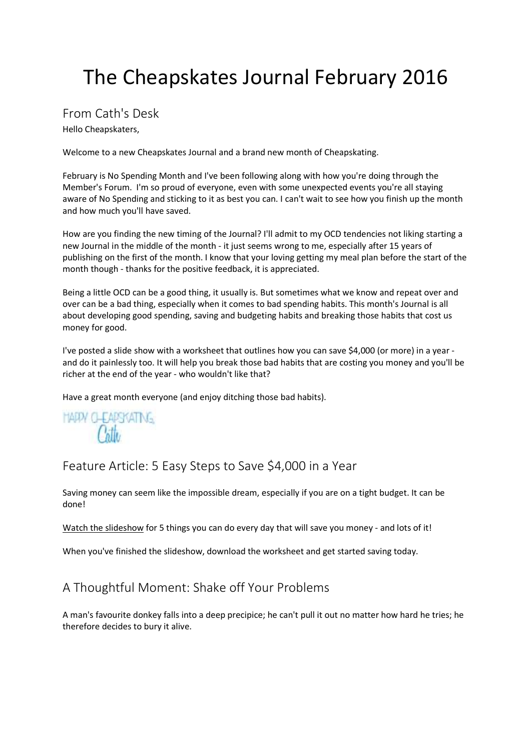## From Cath's Desk

Hello Cheapskaters,

Welcome to a new Cheapskates Journal and a brand new month of Cheapskating.

February is No Spending Month and I've been following along with how you're doing through the Member's Forum. I'm so proud of everyone, even with some unexpected events you're all staying aware of No Spending and sticking to it as best you can. I can't wait to see how you finish up the month and how much you'll have saved.

How are you finding the new timing of the Journal? I'll admit to my OCD tendencies not liking starting a new Journal in the middle of the month - it just seems wrong to me, especially after 15 years of publishing on the first of the month. I know that your loving getting my meal plan before the start of the month though - thanks for the positive feedback, it is appreciated.

Being a little OCD can be a good thing, it usually is. But sometimes what we know and repeat over and over can be a bad thing, especially when it comes to bad spending habits. This month's Journal is all about developing good spending, saving and budgeting habits and breaking those habits that cost us money for good.

I've posted a slide show with a worksheet that outlines how you can save \$4,000 (or more) in a year and do it painlessly too. It will help you break those bad habits that are costing you money and you'll be richer at the end of the year - who wouldn't like that?

Have a great month everyone (and enjoy ditching those bad habits).

**HARM CLEARSKATING**  $\rho_{\rm dhs}$ 

Feature Article: 5 Easy Steps to Save \$4,000 in a Year

Saving money can seem like the impossible dream, especially if you are on a tight budget. It can be done!

Watch the slideshow for 5 things you can do every day that will save you money - and lots of it!

When you've finished the slideshow, download the worksheet and get started saving today.

## A Thoughtful Moment: Shake off Your Problems

A man's favourite donkey falls into a deep precipice; he can't pull it out no matter how hard he tries; he therefore decides to bury it alive.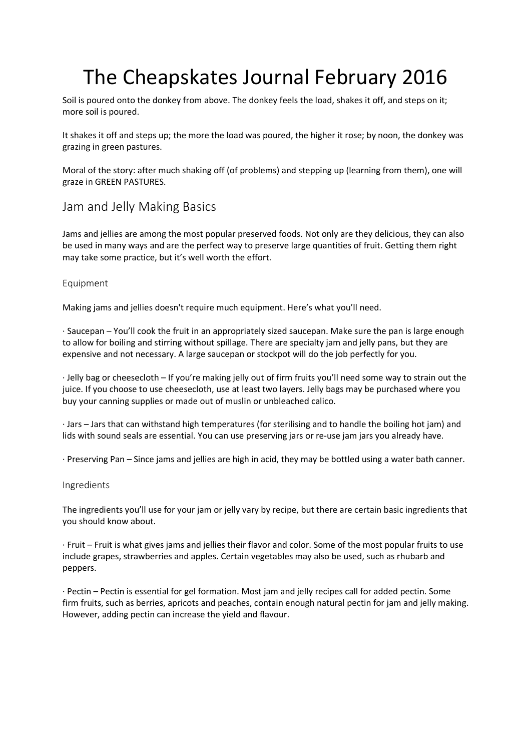Soil is poured onto the donkey from above. The donkey feels the load, shakes it off, and steps on it; more soil is poured.

It shakes it off and steps up; the more the load was poured, the higher it rose; by noon, the donkey was grazing in green pastures.

Moral of the story: after much shaking off (of problems) and stepping up (learning from them), one will graze in GREEN PASTURES.

### Jam and Jelly Making Basics

Jams and jellies are among the most popular preserved foods. Not only are they delicious, they can also be used in many ways and are the perfect way to preserve large quantities of fruit. Getting them right may take some practice, but it's well worth the effort.

#### Equipment

Making jams and jellies doesn't require much equipment. Here's what you'll need.

· Saucepan – You'll cook the fruit in an appropriately sized saucepan. Make sure the pan is large enough to allow for boiling and stirring without spillage. There are specialty jam and jelly pans, but they are expensive and not necessary. A large saucepan or stockpot will do the job perfectly for you.

· Jelly bag or cheesecloth – If you're making jelly out of firm fruits you'll need some way to strain out the juice. If you choose to use cheesecloth, use at least two layers. Jelly bags may be purchased where you buy your canning supplies or made out of muslin or unbleached calico.

· Jars – Jars that can withstand high temperatures (for sterilising and to handle the boiling hot jam) and lids with sound seals are essential. You can use preserving jars or re-use jam jars you already have.

· Preserving Pan – Since jams and jellies are high in acid, they may be bottled using a water bath canner.

#### Ingredients

The ingredients you'll use for your jam or jelly vary by recipe, but there are certain basic ingredients that you should know about.

· Fruit – Fruit is what gives jams and jellies their flavor and color. Some of the most popular fruits to use include grapes, strawberries and apples. Certain vegetables may also be used, such as rhubarb and peppers.

· Pectin – Pectin is essential for gel formation. Most jam and jelly recipes call for added pectin. Some firm fruits, such as berries, apricots and peaches, contain enough natural pectin for jam and jelly making. However, adding pectin can increase the yield and flavour.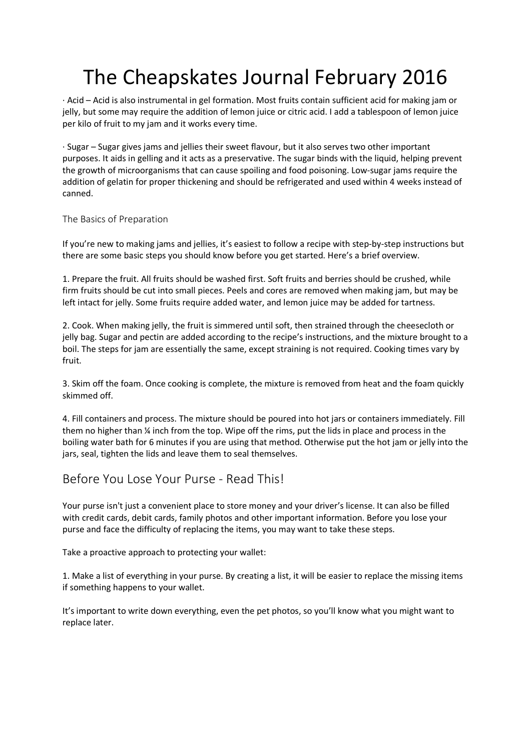· Acid – Acid is also instrumental in gel formation. Most fruits contain sufficient acid for making jam or jelly, but some may require the addition of lemon juice or citric acid. I add a tablespoon of lemon juice per kilo of fruit to my jam and it works every time.

· Sugar – Sugar gives jams and jellies their sweet flavour, but it also serves two other important purposes. It aids in gelling and it acts as a preservative. The sugar binds with the liquid, helping prevent the growth of microorganisms that can cause spoiling and food poisoning. Low-sugar jams require the addition of gelatin for proper thickening and should be refrigerated and used within 4 weeks instead of canned.

#### The Basics of Preparation

If you're new to making jams and jellies, it's easiest to follow a recipe with step-by-step instructions but there are some basic steps you should know before you get started. Here's a brief overview.

1. Prepare the fruit. All fruits should be washed first. Soft fruits and berries should be crushed, while firm fruits should be cut into small pieces. Peels and cores are removed when making jam, but may be left intact for jelly. Some fruits require added water, and lemon juice may be added for tartness.

2. Cook. When making jelly, the fruit is simmered until soft, then strained through the cheesecloth or jelly bag. Sugar and pectin are added according to the recipe's instructions, and the mixture brought to a boil. The steps for jam are essentially the same, except straining is not required. Cooking times vary by fruit.

3. Skim off the foam. Once cooking is complete, the mixture is removed from heat and the foam quickly skimmed off.

4. Fill containers and process. The mixture should be poured into hot jars or containers immediately. Fill them no higher than ¼ inch from the top. Wipe off the rims, put the lids in place and process in the boiling water bath for 6 minutes if you are using that method. Otherwise put the hot jam or jelly into the jars, seal, tighten the lids and leave them to seal themselves.

### Before You Lose Your Purse - Read This!

Your purse isn't just a convenient place to store money and your driver's license. It can also be filled with credit cards, debit cards, family photos and other important information. Before you lose your purse and face the difficulty of replacing the items, you may want to take these steps.

Take a proactive approach to protecting your wallet:

1. Make a list of everything in your purse. By creating a list, it will be easier to replace the missing items if something happens to your wallet.

It's important to write down everything, even the pet photos, so you'll know what you might want to replace later.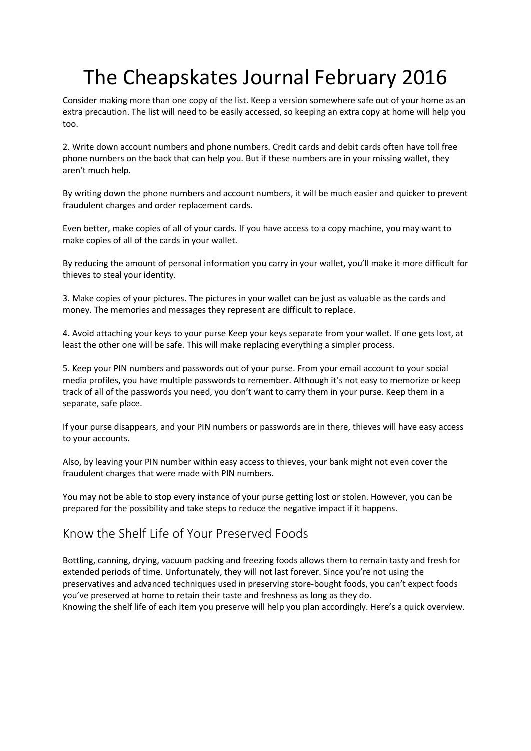Consider making more than one copy of the list. Keep a version somewhere safe out of your home as an extra precaution. The list will need to be easily accessed, so keeping an extra copy at home will help you too.

2. Write down account numbers and phone numbers. Credit cards and debit cards often have toll free phone numbers on the back that can help you. But if these numbers are in your missing wallet, they aren't much help.

By writing down the phone numbers and account numbers, it will be much easier and quicker to prevent fraudulent charges and order replacement cards.

Even better, make copies of all of your cards. If you have access to a copy machine, you may want to make copies of all of the cards in your wallet.

By reducing the amount of personal information you carry in your wallet, you'll make it more difficult for thieves to steal your identity.

3. Make copies of your pictures. The pictures in your wallet can be just as valuable as the cards and money. The memories and messages they represent are difficult to replace.

4. Avoid attaching your keys to your purse Keep your keys separate from your wallet. If one gets lost, at least the other one will be safe. This will make replacing everything a simpler process.

5. Keep your PIN numbers and passwords out of your purse. From your email account to your social media profiles, you have multiple passwords to remember. Although it's not easy to memorize or keep track of all of the passwords you need, you don't want to carry them in your purse. Keep them in a separate, safe place.

If your purse disappears, and your PIN numbers or passwords are in there, thieves will have easy access to your accounts.

Also, by leaving your PIN number within easy access to thieves, your bank might not even cover the fraudulent charges that were made with PIN numbers.

You may not be able to stop every instance of your purse getting lost or stolen. However, you can be prepared for the possibility and take steps to reduce the negative impact if it happens.

### Know the Shelf Life of Your Preserved Foods

Bottling, canning, drying, vacuum packing and freezing foods allows them to remain tasty and fresh for extended periods of time. Unfortunately, they will not last forever. Since you're not using the preservatives and advanced techniques used in preserving store-bought foods, you can't expect foods you've preserved at home to retain their taste and freshness as long as they do. Knowing the shelf life of each item you preserve will help you plan accordingly. Here's a quick overview.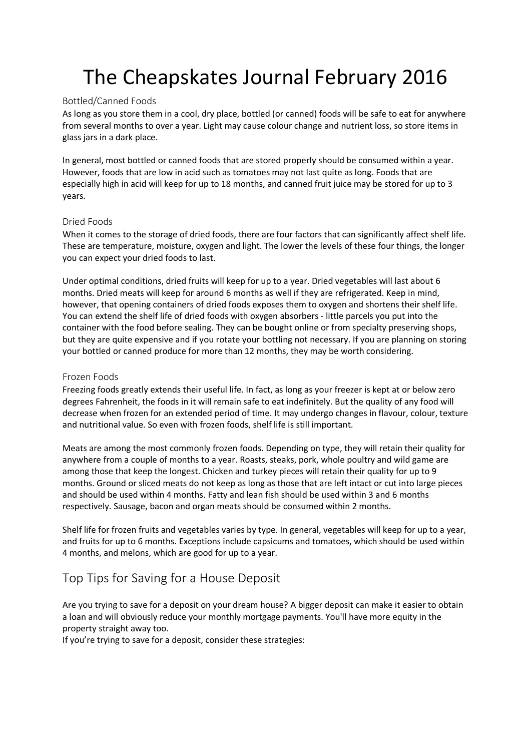#### Bottled/Canned Foods

As long as you store them in a cool, dry place, bottled (or canned) foods will be safe to eat for anywhere from several months to over a year. Light may cause colour change and nutrient loss, so store items in glass jars in a dark place.

In general, most bottled or canned foods that are stored properly should be consumed within a year. However, foods that are low in acid such as tomatoes may not last quite as long. Foods that are especially high in acid will keep for up to 18 months, and canned fruit juice may be stored for up to 3 years.

#### Dried Foods

When it comes to the storage of dried foods, there are four factors that can significantly affect shelf life. These are temperature, moisture, oxygen and light. The lower the levels of these four things, the longer you can expect your dried foods to last.

Under optimal conditions, dried fruits will keep for up to a year. Dried vegetables will last about 6 months. Dried meats will keep for around 6 months as well if they are refrigerated. Keep in mind, however, that opening containers of dried foods exposes them to oxygen and shortens their shelf life. You can extend the shelf life of dried foods with oxygen absorbers - little parcels you put into the container with the food before sealing. They can be bought online or from specialty preserving shops, but they are quite expensive and if you rotate your bottling not necessary. If you are planning on storing your bottled or canned produce for more than 12 months, they may be worth considering.

#### Frozen Foods

Freezing foods greatly extends their useful life. In fact, as long as your freezer is kept at or below zero degrees Fahrenheit, the foods in it will remain safe to eat indefinitely. But the quality of any food will decrease when frozen for an extended period of time. It may undergo changes in flavour, colour, texture and nutritional value. So even with frozen foods, shelf life is still important.

Meats are among the most commonly frozen foods. Depending on type, they will retain their quality for anywhere from a couple of months to a year. Roasts, steaks, pork, whole poultry and wild game are among those that keep the longest. Chicken and turkey pieces will retain their quality for up to 9 months. Ground or sliced meats do not keep as long as those that are left intact or cut into large pieces and should be used within 4 months. Fatty and lean fish should be used within 3 and 6 months respectively. Sausage, bacon and organ meats should be consumed within 2 months.

Shelf life for frozen fruits and vegetables varies by type. In general, vegetables will keep for up to a year, and fruits for up to 6 months. Exceptions include capsicums and tomatoes, which should be used within 4 months, and melons, which are good for up to a year.

## Top Tips for Saving for a House Deposit

Are you trying to save for a deposit on your dream house? A bigger deposit can make it easier to obtain a loan and will obviously reduce your monthly mortgage payments. You'll have more equity in the property straight away too.

If you're trying to save for a deposit, consider these strategies: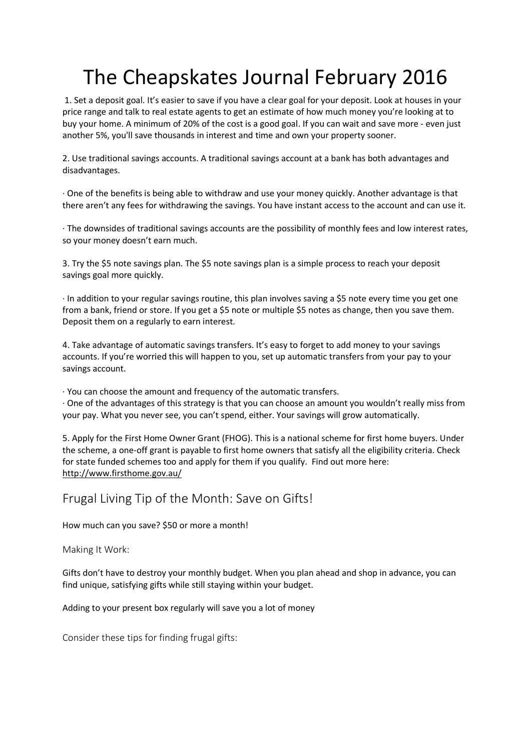1. Set a deposit goal. It's easier to save if you have a clear goal for your deposit. Look at houses in your price range and talk to real estate agents to get an estimate of how much money you're looking at to buy your home. A minimum of 20% of the cost is a good goal. If you can wait and save more - even just another 5%, you'll save thousands in interest and time and own your property sooner.

2. Use traditional savings accounts. A traditional savings account at a bank has both advantages and disadvantages.

· One of the benefits is being able to withdraw and use your money quickly. Another advantage is that there aren't any fees for withdrawing the savings. You have instant access to the account and can use it.

· The downsides of traditional savings accounts are the possibility of monthly fees and low interest rates, so your money doesn't earn much.

3. Try the \$5 note savings plan. The \$5 note savings plan is a simple process to reach your deposit savings goal more quickly.

· In addition to your regular savings routine, this plan involves saving a \$5 note every time you get one from a bank, friend or store. If you get a \$5 note or multiple \$5 notes as change, then you save them. Deposit them on a regularly to earn interest.

4. Take advantage of automatic savings transfers. It's easy to forget to add money to your savings accounts. If you're worried this will happen to you, set up automatic transfers from your pay to your savings account.

· You can choose the amount and frequency of the automatic transfers.

· One of the advantages of this strategy is that you can choose an amount you wouldn't really miss from your pay. What you never see, you can't spend, either. Your savings will grow automatically.

5. Apply for the First Home Owner Grant (FHOG). This is a national scheme for first home buyers. Under the scheme, a one-off grant is payable to first home owners that satisfy all the eligibility criteria. Check for state funded schemes too and apply for them if you qualify. Find out more here: http://www.firsthome.gov.au/

Frugal Living Tip of the Month: Save on Gifts!

How much can you save? \$50 or more a month!

Making It Work:

Gifts don't have to destroy your monthly budget. When you plan ahead and shop in advance, you can find unique, satisfying gifts while still staying within your budget.

Adding to your present box regularly will save you a lot of money

Consider these tips for finding frugal gifts: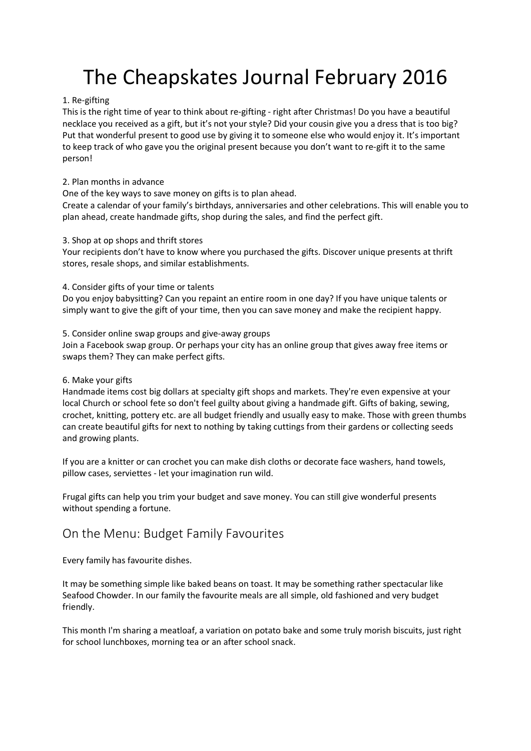#### 1. Re-gifting

This is the right time of year to think about re-gifting - right after Christmas! Do you have a beautiful necklace you received as a gift, but it's not your style? Did your cousin give you a dress that is too big? Put that wonderful present to good use by giving it to someone else who would enjoy it. It's important to keep track of who gave you the original present because you don't want to re-gift it to the same person!

#### 2. Plan months in advance

One of the key ways to save money on gifts is to plan ahead.

Create a calendar of your family's birthdays, anniversaries and other celebrations. This will enable you to plan ahead, create handmade gifts, shop during the sales, and find the perfect gift.

#### 3. Shop at op shops and thrift stores

Your recipients don't have to know where you purchased the gifts. Discover unique presents at thrift stores, resale shops, and similar establishments.

4. Consider gifts of your time or talents

Do you enjoy babysitting? Can you repaint an entire room in one day? If you have unique talents or simply want to give the gift of your time, then you can save money and make the recipient happy.

#### 5. Consider online swap groups and give-away groups

Join a Facebook swap group. Or perhaps your city has an online group that gives away free items or swaps them? They can make perfect gifts.

#### 6. Make your gifts

Handmade items cost big dollars at specialty gift shops and markets. They're even expensive at your local Church or school fete so don't feel guilty about giving a handmade gift. Gifts of baking, sewing, crochet, knitting, pottery etc. are all budget friendly and usually easy to make. Those with green thumbs can create beautiful gifts for next to nothing by taking cuttings from their gardens or collecting seeds and growing plants.

If you are a knitter or can crochet you can make dish cloths or decorate face washers, hand towels, pillow cases, serviettes - let your imagination run wild.

Frugal gifts can help you trim your budget and save money. You can still give wonderful presents without spending a fortune.

### On the Menu: Budget Family Favourites

Every family has favourite dishes.

It may be something simple like baked beans on toast. It may be something rather spectacular like Seafood Chowder. In our family the favourite meals are all simple, old fashioned and very budget friendly.

This month I'm sharing a meatloaf, a variation on potato bake and some truly morish biscuits, just right for school lunchboxes, morning tea or an after school snack.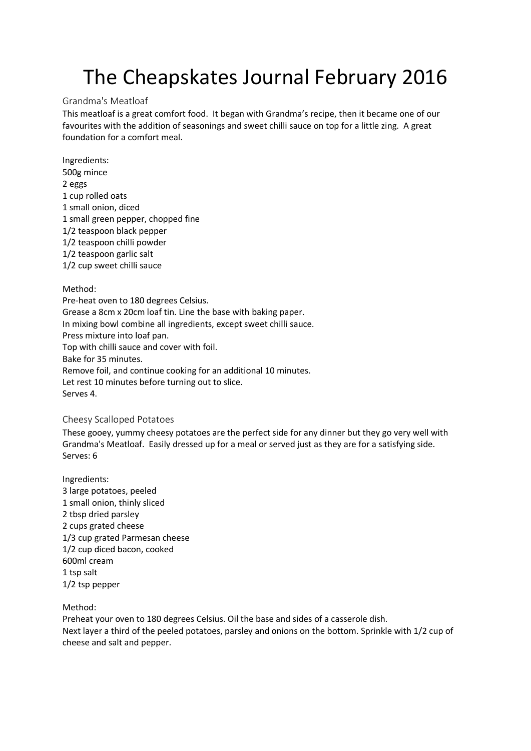#### Grandma's Meatloaf

This meatloaf is a great comfort food. It began with Grandma's recipe, then it became one of our favourites with the addition of seasonings and sweet chilli sauce on top for a little zing. A great foundation for a comfort meal.

Ingredients: 500g mince 2 eggs 1 cup rolled oats 1 small onion, diced 1 small green pepper, chopped fine 1/2 teaspoon black pepper 1/2 teaspoon chilli powder 1/2 teaspoon garlic salt 1/2 cup sweet chilli sauce

#### Method:

Pre-heat oven to 180 degrees Celsius. Grease a 8cm x 20cm loaf tin. Line the base with baking paper. In mixing bowl combine all ingredients, except sweet chilli sauce. Press mixture into loaf pan. Top with chilli sauce and cover with foil. Bake for 35 minutes. Remove foil, and continue cooking for an additional 10 minutes. Let rest 10 minutes before turning out to slice. Serves 4.

#### Cheesy Scalloped Potatoes

These gooey, yummy cheesy potatoes are the perfect side for any dinner but they go very well with Grandma's Meatloaf. Easily dressed up for a meal or served just as they are for a satisfying side. Serves: 6

Ingredients: 3 large potatoes, peeled 1 small onion, thinly sliced 2 tbsp dried parsley 2 cups grated cheese 1/3 cup grated Parmesan cheese 1/2 cup diced bacon, cooked 600ml cream 1 tsp salt 1/2 tsp pepper

Method:

Preheat your oven to 180 degrees Celsius. Oil the base and sides of a casserole dish. Next layer a third of the peeled potatoes, parsley and onions on the bottom. Sprinkle with 1/2 cup of cheese and salt and pepper.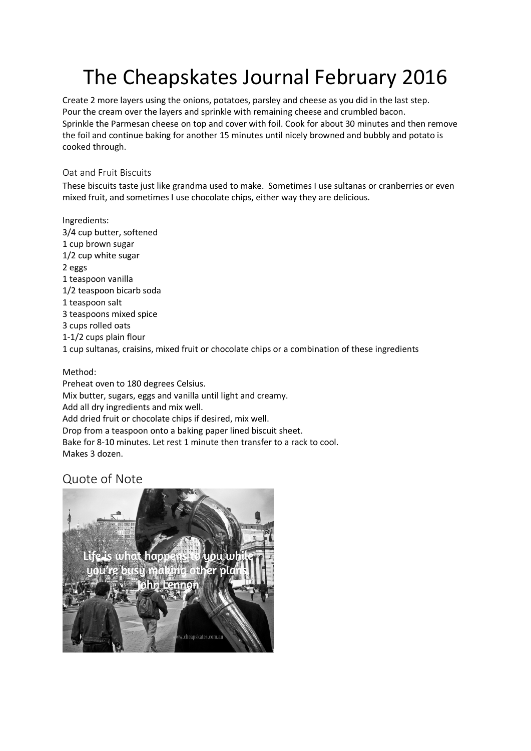Create 2 more layers using the onions, potatoes, parsley and cheese as you did in the last step. Pour the cream over the layers and sprinkle with remaining cheese and crumbled bacon. Sprinkle the Parmesan cheese on top and cover with foil. Cook for about 30 minutes and then remove the foil and continue baking for another 15 minutes until nicely browned and bubbly and potato is cooked through.

### Oat and Fruit Biscuits

These biscuits taste just like grandma used to make. Sometimes I use sultanas or cranberries or even mixed fruit, and sometimes I use chocolate chips, either way they are delicious.

Ingredients: 3/4 cup butter, softened 1 cup brown sugar 1/2 cup white sugar 2 eggs 1 teaspoon vanilla 1/2 teaspoon bicarb soda 1 teaspoon salt 3 teaspoons mixed spice 3 cups rolled oats 1-1/2 cups plain flour 1 cup sultanas, craisins, mixed fruit or chocolate chips or a combination of these ingredients

### Method:

Preheat oven to 180 degrees Celsius. Mix butter, sugars, eggs and vanilla until light and creamy. Add all dry ingredients and mix well. Add dried fruit or chocolate chips if desired, mix well. Drop from a teaspoon onto a baking paper lined biscuit sheet. Bake for 8-10 minutes. Let rest 1 minute then transfer to a rack to cool. Makes 3 dozen.

## Quote of Note

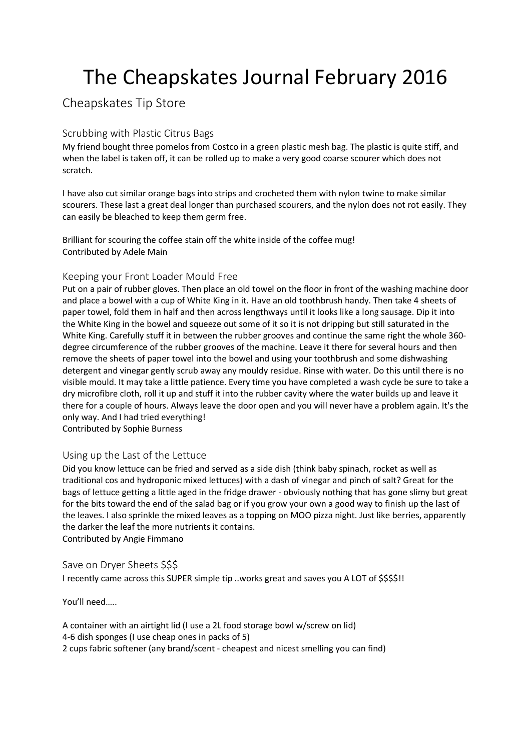## Cheapskates Tip Store

### Scrubbing with Plastic Citrus Bags

My friend bought three pomelos from Costco in a green plastic mesh bag. The plastic is quite stiff, and when the label is taken off, it can be rolled up to make a very good coarse scourer which does not scratch.

I have also cut similar orange bags into strips and crocheted them with nylon twine to make similar scourers. These last a great deal longer than purchased scourers, and the nylon does not rot easily. They can easily be bleached to keep them germ free.

Brilliant for scouring the coffee stain off the white inside of the coffee mug! Contributed by Adele Main

### Keeping your Front Loader Mould Free

Put on a pair of rubber gloves. Then place an old towel on the floor in front of the washing machine door and place a bowel with a cup of White King in it. Have an old toothbrush handy. Then take 4 sheets of paper towel, fold them in half and then across lengthways until it looks like a long sausage. Dip it into the White King in the bowel and squeeze out some of it so it is not dripping but still saturated in the White King. Carefully stuff it in between the rubber grooves and continue the same right the whole 360 degree circumference of the rubber grooves of the machine. Leave it there for several hours and then remove the sheets of paper towel into the bowel and using your toothbrush and some dishwashing detergent and vinegar gently scrub away any mouldy residue. Rinse with water. Do this until there is no visible mould. It may take a little patience. Every time you have completed a wash cycle be sure to take a dry microfibre cloth, roll it up and stuff it into the rubber cavity where the water builds up and leave it there for a couple of hours. Always leave the door open and you will never have a problem again. It's the only way. And I had tried everything!

Contributed by Sophie Burness

### Using up the Last of the Lettuce

Did you know lettuce can be fried and served as a side dish (think baby spinach, rocket as well as traditional cos and hydroponic mixed lettuces) with a dash of vinegar and pinch of salt? Great for the bags of lettuce getting a little aged in the fridge drawer - obviously nothing that has gone slimy but great for the bits toward the end of the salad bag or if you grow your own a good way to finish up the last of the leaves. I also sprinkle the mixed leaves as a topping on MOO pizza night. Just like berries, apparently the darker the leaf the more nutrients it contains. Contributed by Angie Fimmano

### Save on Dryer Sheets \$\$\$

I recently came across this SUPER simple tip ..works great and saves you A LOT of \$\$\$\$!!

You'll need…..

A container with an airtight lid (I use a 2L food storage bowl w/screw on lid) 4-6 dish sponges (I use cheap ones in packs of 5) 2 cups fabric softener (any brand/scent - cheapest and nicest smelling you can find)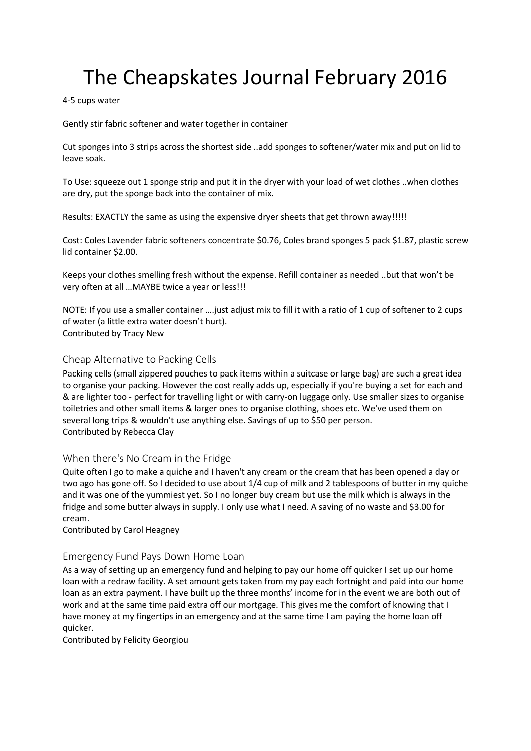#### 4-5 cups water

Gently stir fabric softener and water together in container

Cut sponges into 3 strips across the shortest side ..add sponges to softener/water mix and put on lid to leave soak.

To Use: squeeze out 1 sponge strip and put it in the dryer with your load of wet clothes ..when clothes are dry, put the sponge back into the container of mix.

Results: EXACTLY the same as using the expensive dryer sheets that get thrown away!!!!!

Cost: Coles Lavender fabric softeners concentrate \$0.76, Coles brand sponges 5 pack \$1.87, plastic screw lid container \$2.00.

Keeps your clothes smelling fresh without the expense. Refill container as needed ..but that won't be very often at all …MAYBE twice a year or less!!!

NOTE: If you use a smaller container ….just adjust mix to fill it with a ratio of 1 cup of softener to 2 cups of water (a little extra water doesn't hurt). Contributed by Tracy New

#### Cheap Alternative to Packing Cells

Packing cells (small zippered pouches to pack items within a suitcase or large bag) are such a great idea to organise your packing. However the cost really adds up, especially if you're buying a set for each and & are lighter too - perfect for travelling light or with carry-on luggage only. Use smaller sizes to organise toiletries and other small items & larger ones to organise clothing, shoes etc. We've used them on several long trips & wouldn't use anything else. Savings of up to \$50 per person. Contributed by Rebecca Clay

### When there's No Cream in the Fridge

Quite often I go to make a quiche and I haven't any cream or the cream that has been opened a day or two ago has gone off. So I decided to use about 1/4 cup of milk and 2 tablespoons of butter in my quiche and it was one of the yummiest yet. So I no longer buy cream but use the milk which is always in the fridge and some butter always in supply. I only use what I need. A saving of no waste and \$3.00 for cream.

Contributed by Carol Heagney

#### Emergency Fund Pays Down Home Loan

As a way of setting up an emergency fund and helping to pay our home off quicker I set up our home loan with a redraw facility. A set amount gets taken from my pay each fortnight and paid into our home loan as an extra payment. I have built up the three months' income for in the event we are both out of work and at the same time paid extra off our mortgage. This gives me the comfort of knowing that I have money at my fingertips in an emergency and at the same time I am paying the home loan off quicker.

Contributed by Felicity Georgiou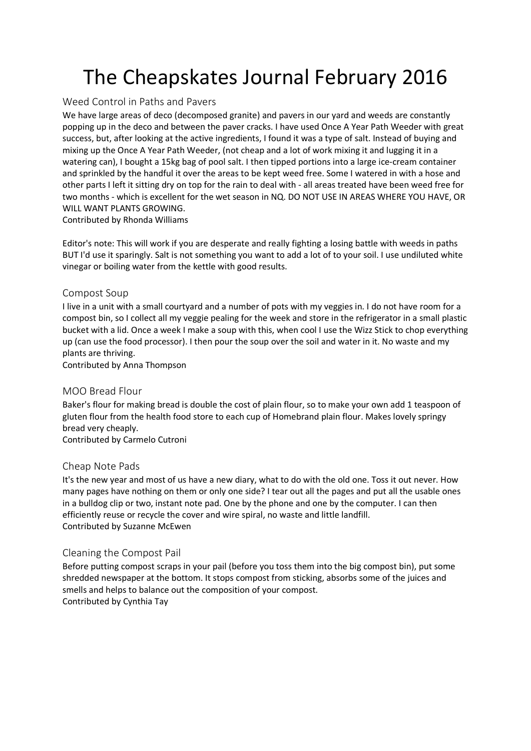### Weed Control in Paths and Pavers

We have large areas of deco (decomposed granite) and pavers in our yard and weeds are constantly popping up in the deco and between the paver cracks. I have used Once A Year Path Weeder with great success, but, after looking at the active ingredients, I found it was a type of salt. Instead of buying and mixing up the Once A Year Path Weeder, (not cheap and a lot of work mixing it and lugging it in a watering can), I bought a 15kg bag of pool salt. I then tipped portions into a large ice-cream container and sprinkled by the handful it over the areas to be kept weed free. Some I watered in with a hose and other parts I left it sitting dry on top for the rain to deal with - all areas treated have been weed free for two months - which is excellent for the wet season in NQ. DO NOT USE IN AREAS WHERE YOU HAVE, OR WILL WANT PLANTS GROWING.

Contributed by Rhonda Williams

Editor's note: This will work if you are desperate and really fighting a losing battle with weeds in paths BUT I'd use it sparingly. Salt is not something you want to add a lot of to your soil. I use undiluted white vinegar or boiling water from the kettle with good results.

#### Compost Soup

I live in a unit with a small courtyard and a number of pots with my veggies in. I do not have room for a compost bin, so I collect all my veggie pealing for the week and store in the refrigerator in a small plastic bucket with a lid. Once a week I make a soup with this, when cool I use the Wizz Stick to chop everything up (can use the food processor). I then pour the soup over the soil and water in it. No waste and my plants are thriving.

Contributed by Anna Thompson

#### MOO Bread Flour

Baker's flour for making bread is double the cost of plain flour, so to make your own add 1 teaspoon of gluten flour from the health food store to each cup of Homebrand plain flour. Makes lovely springy bread very cheaply.

Contributed by Carmelo Cutroni

#### Cheap Note Pads

It's the new year and most of us have a new diary, what to do with the old one. Toss it out never. How many pages have nothing on them or only one side? I tear out all the pages and put all the usable ones in a bulldog clip or two, instant note pad. One by the phone and one by the computer. I can then efficiently reuse or recycle the cover and wire spiral, no waste and little landfill. Contributed by Suzanne McEwen

### Cleaning the Compost Pail

Before putting compost scraps in your pail (before you toss them into the big compost bin), put some shredded newspaper at the bottom. It stops compost from sticking, absorbs some of the juices and smells and helps to balance out the composition of your compost. Contributed by Cynthia Tay